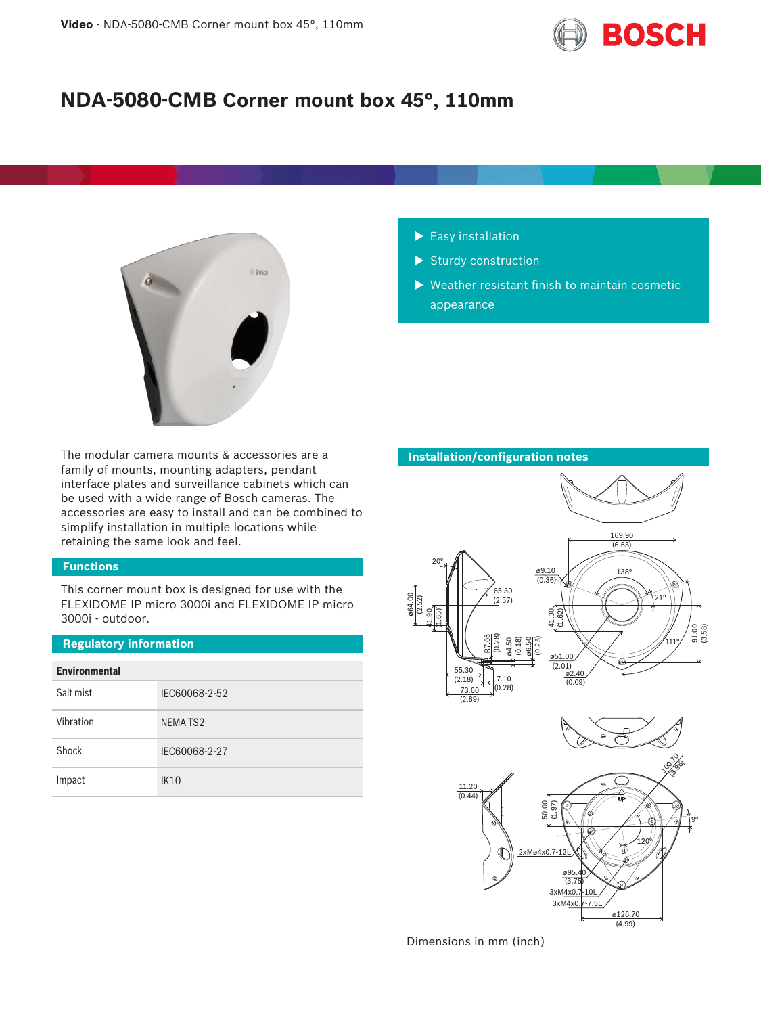

# **NDA-5080-CMB Corner mount box 45°, 110mm**



The modular camera mounts & accessories are a family of mounts, mounting adapters, pendant interface plates and surveillance cabinets which can be used with a wide range of Bosch cameras. The accessories are easy to install and can be combined to simplify installation in multiple locations while retaining the same look and feel.

# **Functions**

This corner mount box is designed for use with the FLEXIDOME IP micro 3000i and FLEXIDOME IP micro 3000i - outdoor.

### **Regulatory information**

| <b>Environmental</b> |                     |  |
|----------------------|---------------------|--|
| Salt mist            | IEC60068-2-52       |  |
| Vibration            | NEMATS <sub>2</sub> |  |
| Shock                | IEC60068-2-27       |  |
| Impact               | <b>IK10</b>         |  |

- $\blacktriangleright$  Easy installation
- $\blacktriangleright$  Sturdy construction
- $\blacktriangleright$  Weather resistant finish to maintain cosmetic appearance



Dimensions in mm (inch)